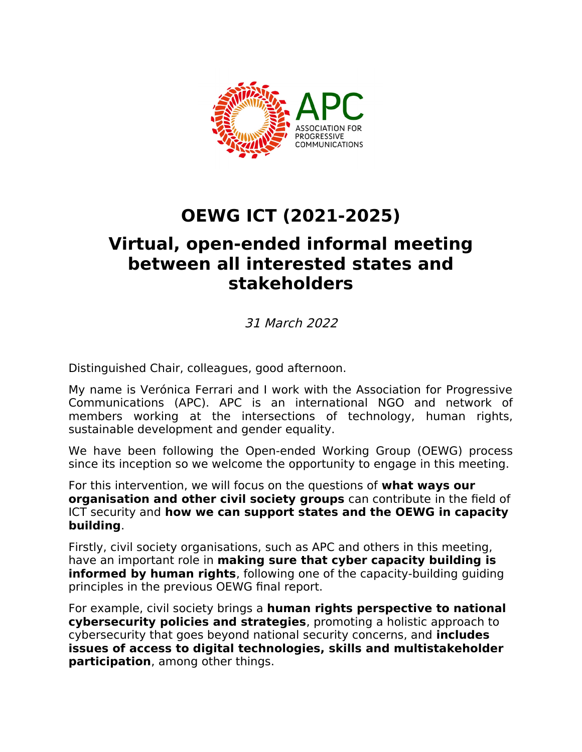

## **OEWG ICT (2021-2025)**

## **Virtual, open-ended informal meeting between all interested states and stakeholders**

31 March 2022

Distinguished Chair, colleagues, good afternoon.

My name is Verónica Ferrari and I work with the Association for Progressive Communications (APC). APC is an international NGO and network of members working at the intersections of technology, human rights, sustainable development and gender equality.

We have been following the Open-ended Working Group (OEWG) process since its inception so we welcome the opportunity to engage in this meeting.

For this intervention, we will focus on the questions of **what ways our organisation and other civil society groups** can contribute in the field of ICT security and **how we can support states and the OEWG in capacity building**.

Firstly, civil society organisations, such as APC and others in this meeting, have an important role in **making sure that cyber capacity building is informed by human rights**, following one of the capacity-building guiding principles in the previous OEWG final report.

For example, civil society brings a **human rights perspective to national cybersecurity policies and strategies**, promoting a holistic approach to cybersecurity that goes beyond national security concerns, and **includes issues of access to digital technologies, skills and multistakeholder participation**, among other things.